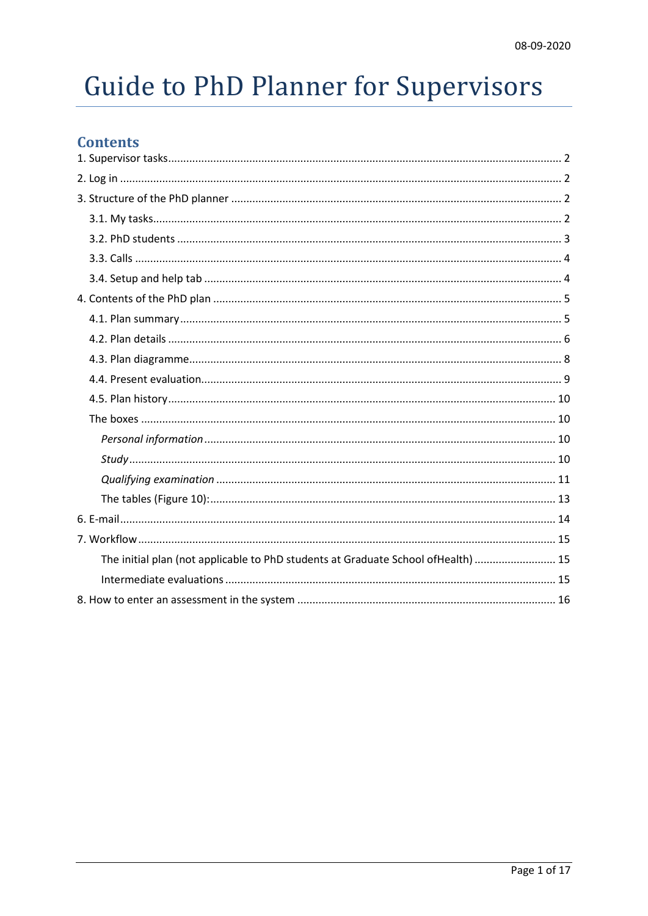# **Guide to PhD Planner for Supervisors**

# **Contents**

| The initial plan (not applicable to PhD students at Graduate School of Health)  15 |  |
|------------------------------------------------------------------------------------|--|
|                                                                                    |  |
|                                                                                    |  |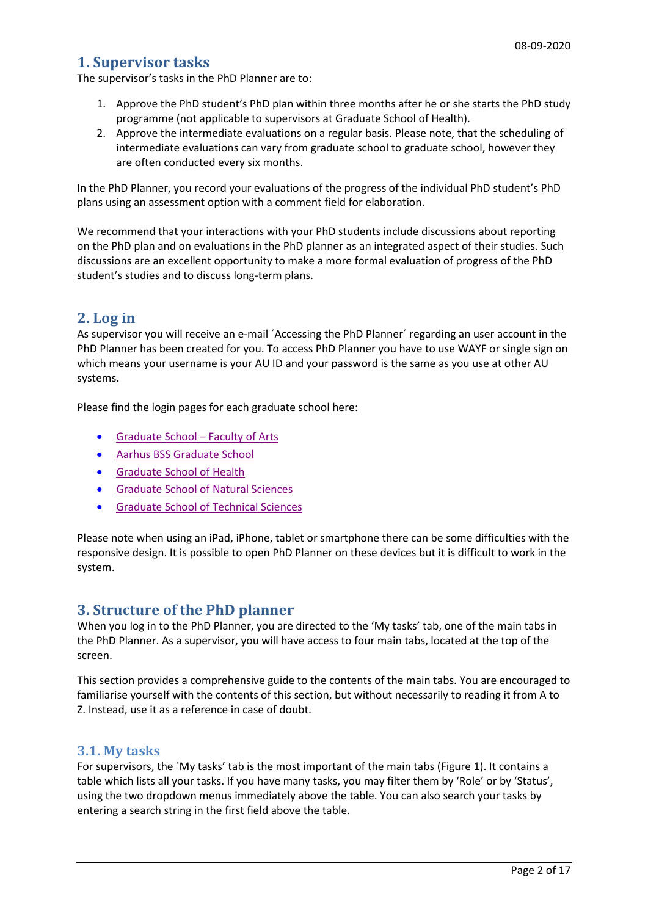# <span id="page-1-0"></span>**1. Supervisor tasks**

The supervisor's tasks in the PhD Planner are to:

- 1. Approve the PhD student's PhD plan within three months after he or she starts the PhD study programme (not applicable to supervisors at Graduate School of Health).
- 2. Approve the intermediate evaluations on a regular basis. Please note, that the scheduling of intermediate evaluations can vary from graduate school to graduate school, however they are often conducted every six months.

In the PhD Planner, you record your evaluations of the progress of the individual PhD student's PhD plans using an assessment option with a comment field for elaboration.

We recommend that your interactions with your PhD students include discussions about reporting on the PhD plan and on evaluations in the PhD planner as an integrated aspect of their studies. Such discussions are an excellent opportunity to make a more formal evaluation of progress of the PhD student's studies and to discuss long-term plans.

# <span id="page-1-1"></span>**2. Log in**

As supervisor you will receive an e-mail 'Accessing the PhD Planner' regarding an user account in the PhD Planner has been created for you. To access PhD Planner you have to use WAYF or single sign on which means your username is your AU ID and your password is the same as you use at other AU systems.

Please find the login pages for each graduate school here:

- [Graduate School –](https://psys.au.dk/aphd/managers-login/) Faculty of Arts
- [Aarhus BSS Graduate School](https://psys.au.dk/bphd/students-login/)
- [Graduate School of Health](https://psys.au.dk/hphd/students-login/)
- [Graduate School of Natural Sciences](https://psys.au.dk/nphd/managers-login/)
- [Graduate School of Technical Sciences](https://psys.au.dk/tphd/managers-login/)

Please note when using an iPad, iPhone, tablet or smartphone there can be some difficulties with the responsive design. It is possible to open PhD Planner on these devices but it is difficult to work in the system.

## <span id="page-1-2"></span>**3. Structure of the PhD planner**

When you log in to the PhD Planner, you are directed to the 'My tasks' tab, one of the main tabs in the PhD Planner. As a supervisor, you will have access to four main tabs, located at the top of the screen.

This section provides a comprehensive guide to the contents of the main tabs. You are encouraged to familiarise yourself with the contents of this section, but without necessarily to reading it from A to Z. Instead, use it as a reference in case of doubt.

## <span id="page-1-3"></span>**3.1. My tasks**

For supervisors, the ´My tasks' tab is the most important of the main tabs (Figure 1). It contains a table which lists all your tasks. If you have many tasks, you may filter them by 'Role' or by 'Status', using the two dropdown menus immediately above the table. You can also search your tasks by entering a search string in the first field above the table.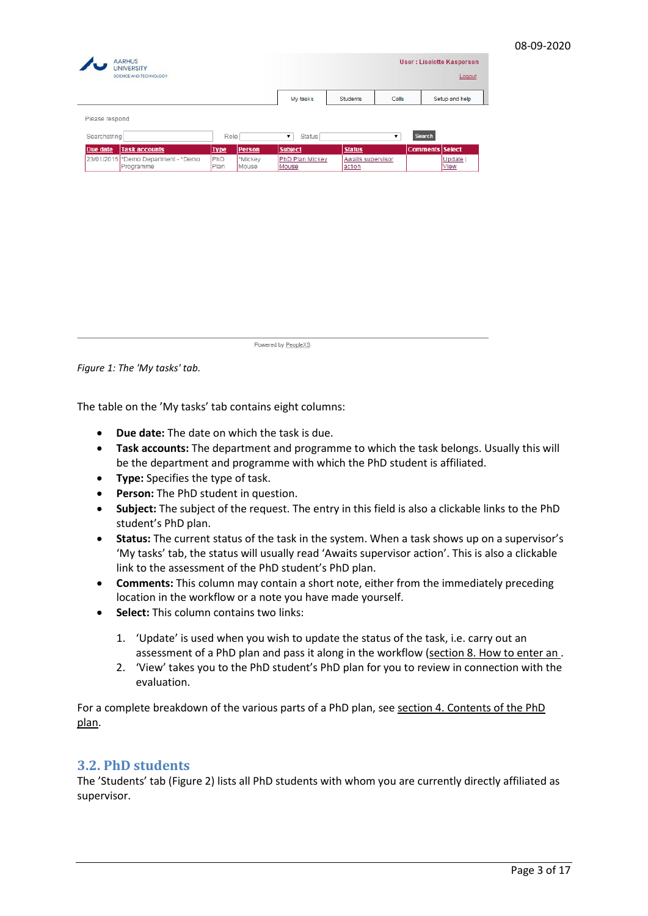|                |                                                  |             |                  | My tasks                 | <b>Students</b>                    | Calls              | Setup and help         |
|----------------|--------------------------------------------------|-------------|------------------|--------------------------|------------------------------------|--------------------|------------------------|
| Please respond |                                                  |             |                  |                          |                                    |                    |                        |
| Searchstring   |                                                  |             | Role             | Status<br>۷.             |                                    | $\pmb{\mathrm{v}}$ | Search                 |
| Due date       | <b>Task accounts</b>                             | <b>Type</b> | <b>Person</b>    | <b>Subject</b>           | <b>Status</b>                      |                    | <b>Comments Select</b> |
|                | 23/01/2015 *Demo Department - *Demo<br>Programme | PhD<br>Plan | *Mickey<br>Mouse | PhD Plan Mickey<br>Mouse | <b>Awaits supervisor</b><br>action |                    | Update  <br>View       |
|                |                                                  |             |                  |                          |                                    |                    |                        |
|                |                                                  |             |                  |                          |                                    |                    |                        |
|                |                                                  |             |                  |                          |                                    |                    |                        |

Powered by PeopleXS

*Figure 1: The 'My tasks' tab.*

The table on the 'My tasks' tab contains eight columns:

- **Due date:** The date on which the task is due.
- **Task accounts:** The department and programme to which the task belongs. Usually this will be the department and programme with which the PhD student is affiliated.
- **Type:** Specifies the type of task.
- **Person:** The PhD student in question.
- **Subject:** The subject of the request. The entry in this field is also a clickable links to the PhD student's PhD plan.
- **Status:** The current status of the task in the system. When a task shows up on a supervisor's 'My tasks' tab, the status will usually read 'Awaits supervisor action'. This is also a clickable link to the assessment of the PhD student's PhD plan.
- **Comments:** This column may contain a short note, either from the immediately preceding location in the workflow or a note you have made yourself.
- **Select:** This column contains two links:
	- 1. 'Update' is used when you wish to update the status of the task, i.e. carry out an assessment of a PhD plan and pass it along in the workflow (section [8. How to enter an .](#page-15-0)
	- 2. 'View' takes you to the PhD student's PhD plan for you to review in connection with the evaluation.

For a complete breakdown of the various parts of a PhD plan, see section [4. Contents of the PhD](#page-4-0)  [plan.](#page-4-0)

#### <span id="page-2-0"></span>**3.2. PhD students**

The 'Students' tab (Figure 2) lists all PhD students with whom you are currently directly affiliated as supervisor.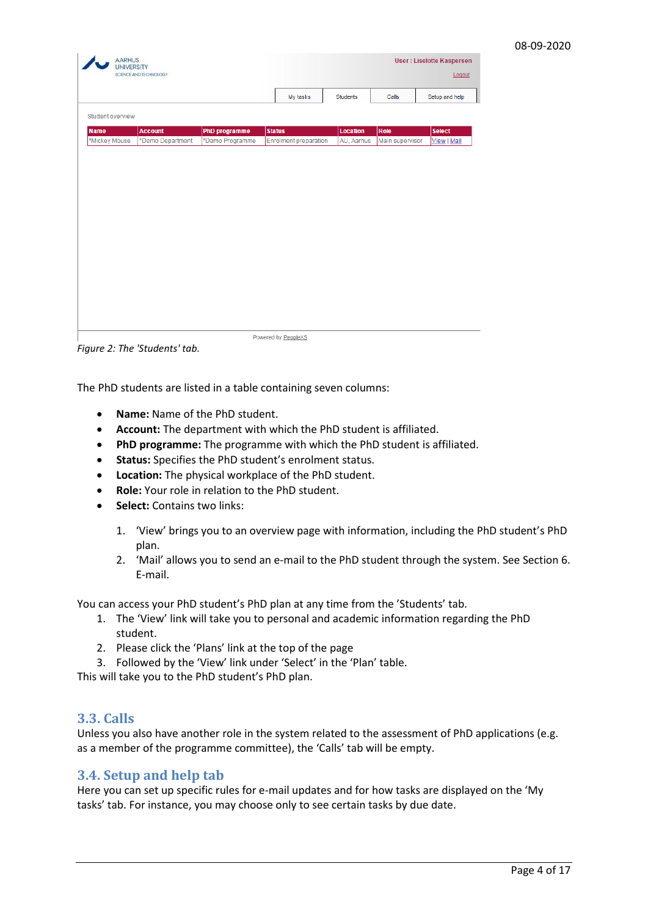| My tasks<br><b>Students</b><br>Calls<br>Student overview<br>PhD programme<br><b>Status</b><br>Location<br>Role<br><b>Name</b><br><b>Account</b><br>*Mickey Mouse<br>*Demo Department<br>*Demo Programme<br><b>Enrolment preparation</b><br>AU, Aarhus<br>Main supervisor | Setup and help<br><b>Select</b><br>View   Mail |  |  |  |  |
|--------------------------------------------------------------------------------------------------------------------------------------------------------------------------------------------------------------------------------------------------------------------------|------------------------------------------------|--|--|--|--|
|                                                                                                                                                                                                                                                                          |                                                |  |  |  |  |
|                                                                                                                                                                                                                                                                          |                                                |  |  |  |  |
|                                                                                                                                                                                                                                                                          |                                                |  |  |  |  |
|                                                                                                                                                                                                                                                                          |                                                |  |  |  |  |
|                                                                                                                                                                                                                                                                          |                                                |  |  |  |  |
|                                                                                                                                                                                                                                                                          |                                                |  |  |  |  |
|                                                                                                                                                                                                                                                                          |                                                |  |  |  |  |
|                                                                                                                                                                                                                                                                          |                                                |  |  |  |  |
|                                                                                                                                                                                                                                                                          |                                                |  |  |  |  |
|                                                                                                                                                                                                                                                                          |                                                |  |  |  |  |
|                                                                                                                                                                                                                                                                          |                                                |  |  |  |  |
|                                                                                                                                                                                                                                                                          |                                                |  |  |  |  |
|                                                                                                                                                                                                                                                                          |                                                |  |  |  |  |
|                                                                                                                                                                                                                                                                          |                                                |  |  |  |  |
|                                                                                                                                                                                                                                                                          |                                                |  |  |  |  |
|                                                                                                                                                                                                                                                                          |                                                |  |  |  |  |
|                                                                                                                                                                                                                                                                          |                                                |  |  |  |  |
|                                                                                                                                                                                                                                                                          |                                                |  |  |  |  |
|                                                                                                                                                                                                                                                                          |                                                |  |  |  |  |
|                                                                                                                                                                                                                                                                          |                                                |  |  |  |  |
|                                                                                                                                                                                                                                                                          |                                                |  |  |  |  |
|                                                                                                                                                                                                                                                                          |                                                |  |  |  |  |
|                                                                                                                                                                                                                                                                          |                                                |  |  |  |  |
|                                                                                                                                                                                                                                                                          |                                                |  |  |  |  |
|                                                                                                                                                                                                                                                                          |                                                |  |  |  |  |
|                                                                                                                                                                                                                                                                          |                                                |  |  |  |  |
|                                                                                                                                                                                                                                                                          |                                                |  |  |  |  |
|                                                                                                                                                                                                                                                                          |                                                |  |  |  |  |
|                                                                                                                                                                                                                                                                          |                                                |  |  |  |  |
|                                                                                                                                                                                                                                                                          |                                                |  |  |  |  |
|                                                                                                                                                                                                                                                                          |                                                |  |  |  |  |
|                                                                                                                                                                                                                                                                          |                                                |  |  |  |  |

*Figure 2: The 'Students' tab.*

The PhD students are listed in a table containing seven columns:

- **Name:** Name of the PhD student.
- **Account:** The department with which the PhD student is affiliated.
- **PhD programme:** The programme with which the PhD student is affiliated.
- **Status:** Specifies the PhD student's enrolment status.
- **Location:** The physical workplace of the PhD student.
- **Role:** Your role in relation to the PhD student.
- **Select:** Contains two links:
	- 1. 'View' brings you to an overview page with information, including the PhD student's PhD plan.
	- 2. 'Mail' allows you to send an e-mail to the PhD student through the system. See Sectio[n 6.](#page-13-0)  [E-mail.](#page-13-0)

You can access your PhD student's PhD plan at any time from the 'Students' tab.

- 1. The 'View' link will take you to personal and academic information regarding the PhD student.
- 2. Please click the 'Plans' link at the top of the page
- 3. Followed by the 'View' link under 'Select' in the 'Plan' table.

This will take you to the PhD student's PhD plan.

## <span id="page-3-0"></span>**3.3. Calls**

Unless you also have another role in the system related to the assessment of PhD applications (e.g. as a member of the programme committee), the 'Calls' tab will be empty.

#### <span id="page-3-1"></span>**3.4. Setup and help tab**

Here you can set up specific rules for e-mail updates and for how tasks are displayed on the 'My tasks' tab. For instance, you may choose only to see certain tasks by due date.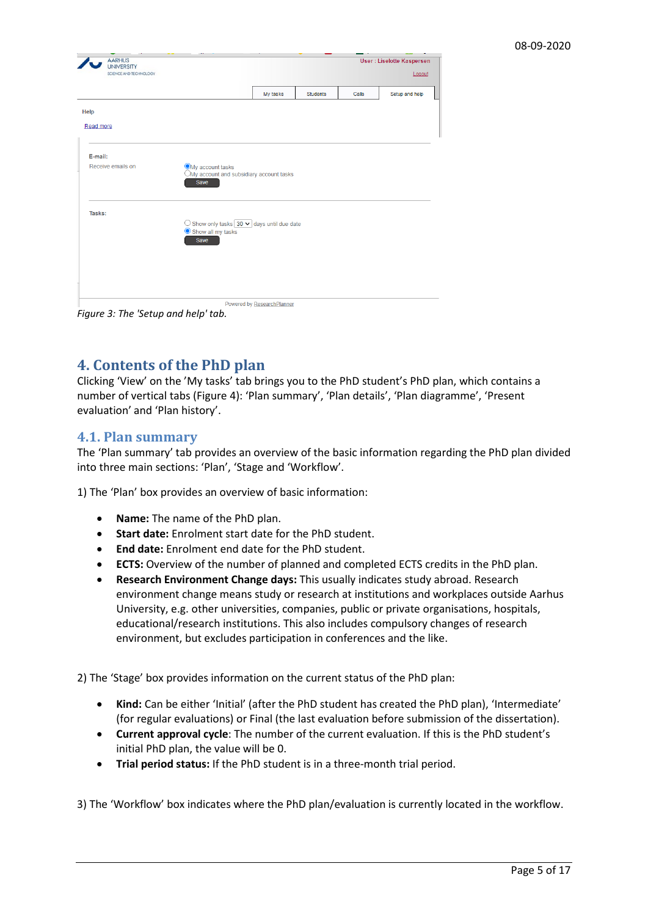| <b>AARHUS</b><br><b>UNIVERSITY</b><br>SCIENCE AND TECHNOLOGY |                                                                       |          |                 |       | <b>User: Liselotte Kaspersen</b> |
|--------------------------------------------------------------|-----------------------------------------------------------------------|----------|-----------------|-------|----------------------------------|
|                                                              |                                                                       |          |                 |       | Logout                           |
|                                                              |                                                                       | My tasks | <b>Students</b> | Calls | Setup and help                   |
| Help                                                         |                                                                       |          |                 |       |                                  |
| Read more                                                    |                                                                       |          |                 |       |                                  |
|                                                              |                                                                       |          |                 |       |                                  |
| E-mail:                                                      |                                                                       |          |                 |       |                                  |
| Receive emails on                                            | OMy account tasks<br>OMy account and subsidiary account tasks<br>Save |          |                 |       |                                  |
| Tasks:                                                       |                                                                       |          |                 |       |                                  |
|                                                              | $\bigcirc$ Show only tasks $30 \vee$ days until due date              |          |                 |       |                                  |
|                                                              | Show all my tasks<br>Save                                             |          |                 |       |                                  |
|                                                              |                                                                       |          |                 |       |                                  |
|                                                              |                                                                       |          |                 |       |                                  |
|                                                              |                                                                       |          |                 |       |                                  |
|                                                              |                                                                       |          |                 |       |                                  |

*Figure 3: The 'Setup and help' tab.* 

# <span id="page-4-0"></span>**4. Contents of the PhD plan**

Clicking 'View' on the 'My tasks' tab brings you to the PhD student's PhD plan, which contains a number of vertical tabs (Figure 4): 'Plan summary', 'Plan details', 'Plan diagramme', 'Present evaluation' and 'Plan history'.

### <span id="page-4-1"></span>**4.1. Plan summary**

The 'Plan summary' tab provides an overview of the basic information regarding the PhD plan divided into three main sections: 'Plan', 'Stage and 'Workflow'.

1) The 'Plan' box provides an overview of basic information:

- **Name:** The name of the PhD plan.
- **Start date:** Enrolment start date for the PhD student.
- **End date:** Enrolment end date for the PhD student.
- **ECTS:** Overview of the number of planned and completed ECTS credits in the PhD plan.
- **Research Environment Change days:** This usually indicates study abroad. Research environment change means study or research at institutions and workplaces outside Aarhus University, e.g. other universities, companies, public or private organisations, hospitals, educational/research institutions. This also includes compulsory changes of research environment, but excludes participation in conferences and the like.

2) The 'Stage' box provides information on the current status of the PhD plan:

- **Kind:** Can be either 'Initial' (after the PhD student has created the PhD plan), 'Intermediate' (for regular evaluations) or Final (the last evaluation before submission of the dissertation).
- **Current approval cycle**: The number of the current evaluation. If this is the PhD student's initial PhD plan, the value will be 0.
- **Trial period status:** If the PhD student is in a three-month trial period.

3) The 'Workflow' box indicates where the PhD plan/evaluation is currently located in the workflow.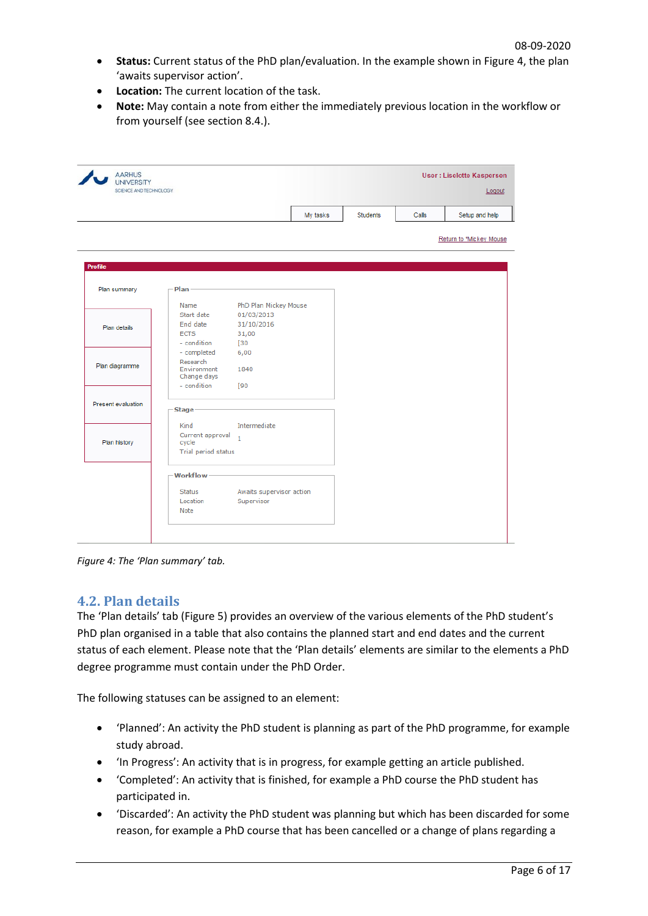- **Status:** Current status of the PhD plan/evaluation. In the example shown in Figure 4, the plan 'awaits supervisor action'.
- **Location:** The current location of the task.
- **Note:** May contain a note from either the immediately previous location in the workflow or from yourself (see section 8.4.).

| <b>AARHUS</b><br><b>UNIVERSITY</b> |                                        |                          |          |          |       | <b>User: Liselotte Kaspersen</b> |
|------------------------------------|----------------------------------------|--------------------------|----------|----------|-------|----------------------------------|
| SCIENCE AND TECHNOLOGY             |                                        |                          |          |          |       | Logout                           |
|                                    |                                        |                          | My tasks | Students | Calls | Setup and help                   |
|                                    |                                        |                          |          |          |       | Return to *Mickey Mouse          |
| <b>Profile</b>                     |                                        |                          |          |          |       |                                  |
| Plan summary                       | Plan                                   |                          |          |          |       |                                  |
|                                    | Name                                   | PhD Plan Mickey Mouse    |          |          |       |                                  |
|                                    | Start date                             | 01/03/2013               |          |          |       |                                  |
| Plan details                       | End date                               | 31/10/2016               |          |          |       |                                  |
|                                    | <b>ECTS</b>                            | 31,00                    |          |          |       |                                  |
|                                    | - condition                            | [30                      |          |          |       |                                  |
|                                    | - completed                            | 6,00                     |          |          |       |                                  |
| Plan diagramme                     | Research<br>Environment<br>Change days | 1840                     |          |          |       |                                  |
|                                    | - condition                            | [90                      |          |          |       |                                  |
| Present evaluation                 | <b>Stage</b>                           |                          |          |          |       |                                  |
|                                    | Kind                                   | Intermediate             |          |          |       |                                  |
|                                    | Current approval                       |                          |          |          |       |                                  |
| Plan history                       | cycle                                  | $\mathbf{1}$             |          |          |       |                                  |
|                                    | Trial period status                    |                          |          |          |       |                                  |
|                                    | Workflow-                              |                          |          |          |       |                                  |
|                                    | <b>Status</b>                          | Awaits supervisor action |          |          |       |                                  |
|                                    | Location                               | Supervisor               |          |          |       |                                  |
|                                    | Note                                   |                          |          |          |       |                                  |
|                                    |                                        |                          |          |          |       |                                  |

*Figure 4: The 'Plan summary' tab.*

#### <span id="page-5-0"></span>**4.2. Plan details**

The 'Plan details' tab (Figure 5) provides an overview of the various elements of the PhD student's PhD plan organised in a table that also contains the planned start and end dates and the current status of each element. Please note that the 'Plan details' elements are similar to the elements a PhD degree programme must contain under the PhD Order.

The following statuses can be assigned to an element:

- 'Planned': An activity the PhD student is planning as part of the PhD programme, for example study abroad.
- 'In Progress': An activity that is in progress, for example getting an article published.
- 'Completed': An activity that is finished, for example a PhD course the PhD student has participated in.
- 'Discarded': An activity the PhD student was planning but which has been discarded for some reason, for example a PhD course that has been cancelled or a change of plans regarding a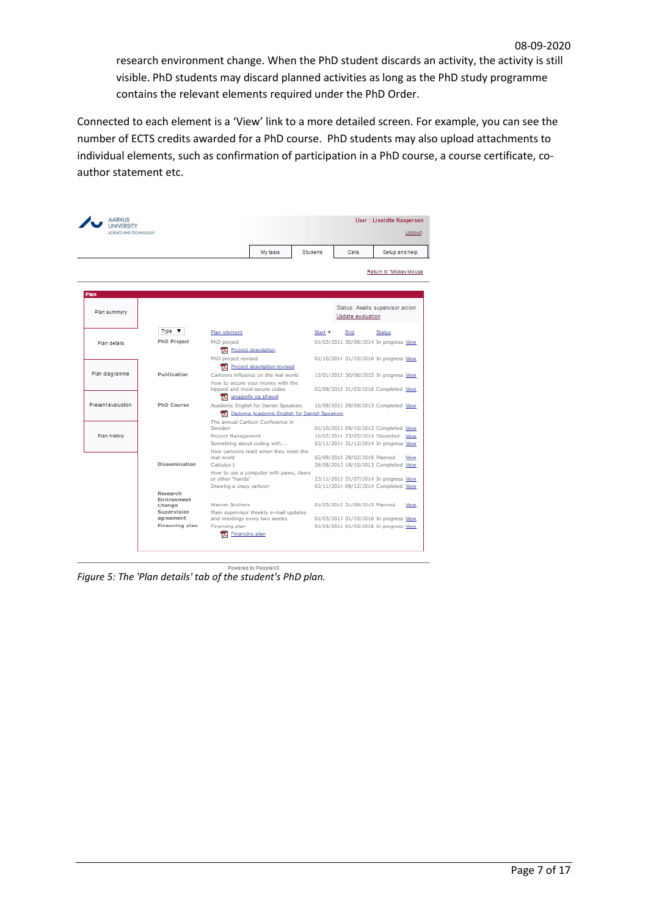research environment change. When the PhD student discards an activity, the activity is still visible. PhD students may discard planned activities as long as the PhD study programme contains the relevant elements required under the PhD Order.

Connected to each element is a 'View' link to a more detailed screen. For example, you can see the number of ECTS credits awarded for a PhD course. PhD students may also upload attachments to individual elements, such as confirmation of participation in a PhD course, a course certificate, coauthor statement etc.

|                    |                                | My tasks                                                                             | Students       | Calls                           | Setup and help                         |
|--------------------|--------------------------------|--------------------------------------------------------------------------------------|----------------|---------------------------------|----------------------------------------|
|                    |                                |                                                                                      |                |                                 | Return to "Mickey Mouse                |
| Plan               |                                |                                                                                      |                |                                 |                                        |
| Plan summary       |                                |                                                                                      |                | Update evaluation               | Status: Awaits supervisor action       |
|                    | Type $\blacktriangledown$      | Plan element                                                                         | Start <b>v</b> | End                             | <b>Status</b>                          |
| Plan details       | <b>PhD Project</b>             | PhD project<br>Project description                                                   |                |                                 | 01/03/2013 30/09/2014 In progress View |
|                    |                                | PhD project revised<br>Project description revised                                   |                |                                 | 01/10/2014 31/10/2016 In progress View |
| Plan diagramme     | Publication                    | Cartoons influence on the real world<br>How to secure your money with the            |                |                                 | 15/01/2015 30/06/2015 In progress View |
|                    |                                | hippest and most secure codes<br>gruppeliv og phaust                                 |                |                                 | 02/09/2015 31/03/2016 Completed View   |
| Present evaluation | <b>PhD Course</b>              | Academic English for Danish Speakers<br>Diploma Academic English for Danish Speakers |                |                                 | 10/09/2013 29/09/2013 Completed View   |
|                    |                                | The annual Cartoon Conference in<br>Sweden                                           |                |                                 | 01/10/2013 09/10/2013 Completed View   |
| Plan history       |                                | <b>Project Management</b>                                                            |                | 10/02/2014 23/05/2014 Discarded | View                                   |
|                    |                                | Something about coding with<br>How cartoons react when they meet the                 |                |                                 | 03/11/2014 31/12/2014 In progress View |
|                    |                                | real world.                                                                          |                | 02/09/2015 29/02/2016 Planned   | View                                   |
|                    | <b>Dissemination</b>           | Calculus 1                                                                           |                |                                 | 26/08/2013 18/10/2013 Completed View   |
|                    |                                | How to use a computer with paws, claws<br>or other "hands"                           |                |                                 | 23/11/2013 31/07/2014 In progress View |
|                    |                                | Drawing a crazy cartoon                                                              |                |                                 | 03/11/2014 09/12/2014 Completed View   |
|                    | Research<br><b>Environment</b> |                                                                                      |                |                                 |                                        |
|                    | Change                         | <b>Warner Brothers</b>                                                               |                | 01/03/2015 31/08/2015 Planned   | View                                   |
|                    | Supervision<br>agreement       | Main supervisor Weekly e-mail updates<br>and meetings every two weeks                |                |                                 | 01/03/2013 31/10/2016 In progress View |
|                    | <b>Financing plan</b>          | Financing plan                                                                       |                |                                 | 01/03/2013 01/03/2016 In progress View |

Powered by PeopleXS

*Figure 5: The 'Plan details' tab of the student's PhD plan.*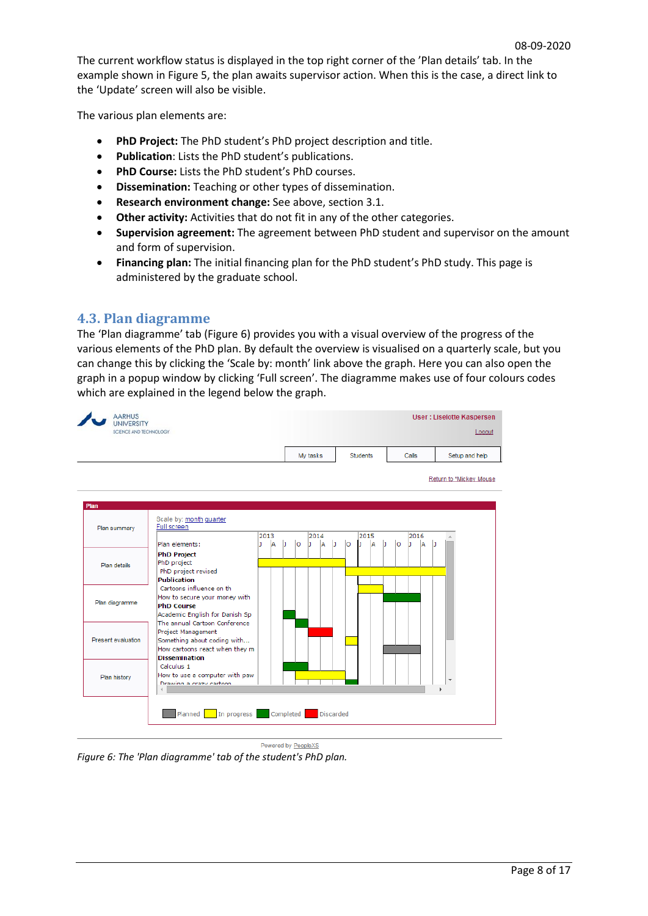The current workflow status is displayed in the top right corner of the 'Plan details' tab. In the example shown in Figure 5, the plan awaits supervisor action. When this is the case, a direct link to the 'Update' screen will also be visible.

The various plan elements are:

- **PhD Project:** The PhD student's PhD project description and title.
- **Publication**: Lists the PhD student's publications.
- **PhD Course:** Lists the PhD student's PhD courses.
- **Dissemination:** Teaching or other types of dissemination.
- **Research environment change:** See above, section 3.1.
- **Other activity:** Activities that do not fit in any of the other categories.
- **Supervision agreement:** The agreement between PhD student and supervisor on the amount and form of supervision.
- **Financing plan:** The initial financing plan for the PhD student's PhD study. This page is administered by the graduate school.

## <span id="page-7-0"></span>**4.3. Plan diagramme**

The 'Plan diagramme' tab (Figure 6) provides you with a visual overview of the progress of the various elements of the PhD plan. By default the overview is visualised on a quarterly scale, but you can change this by clicking the 'Scale by: month' link above the graph. Here you can also open the graph in a popup window by clicking 'Full screen'. The diagramme makes use of four colours codes which are explained in the legend below the graph.

|                    |                                                                                                                                              |               |   |         | My tasks |     |   |    | Students |          | Calls    |   | Setup and help          |
|--------------------|----------------------------------------------------------------------------------------------------------------------------------------------|---------------|---|---------|----------|-----|---|----|----------|----------|----------|---|-------------------------|
|                    |                                                                                                                                              |               |   |         |          |     |   |    |          |          |          |   | Return to *Mickey Mouse |
| Plan summary       | Scale by: month quarter<br><b>Full screen</b>                                                                                                | 2013          |   |         | 2014     |     |   |    | 2015     |          | 2016     |   |                         |
| Plan details       | Plan elements:<br><b>PhD Project</b><br>PhD project<br>PhD project revised                                                                   | <b>A</b><br>ı | b | $\circ$ | b.       | ÌА. | b | lo | A<br>n   | lo<br>IJ | ۱A<br>h. | D |                         |
| Plan diagramme     | <b>Publication</b><br>Cartoons influence on th<br>How to secure your money with<br><b>PhD Course</b><br>Academic English for Danish Sp       |               |   |         |          |     |   |    |          |          |          |   |                         |
| Present evaluation | The annual Cartoon Conference<br>Project Management<br>Something about coding with<br>How cartoons react when they m<br><b>Dissemination</b> |               |   |         |          |     |   |    |          |          |          |   |                         |
| Plan history       | Calculus 1<br>How to use a computer with paw<br>Drawing a crazy cartoon.                                                                     |               |   |         |          |     |   |    |          |          |          |   | $\overline{\mathbf{v}}$ |

Powered by PeopleXS

*Figure 6: The 'Plan diagramme' tab of the student's PhD plan.*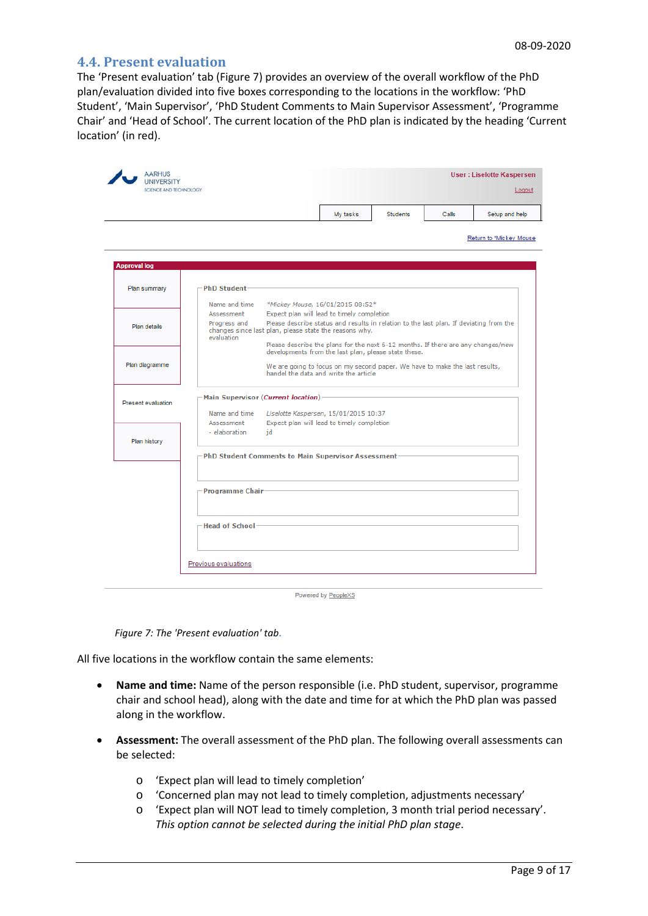#### <span id="page-8-0"></span>**4.4. Present evaluation**

The 'Present evaluation' tab (Figure 7) provides an overview of the overall workflow of the PhD plan/evaluation divided into five boxes corresponding to the locations in the workflow: 'PhD Student', 'Main Supervisor', 'PhD Student Comments to Main Supervisor Assessment', 'Programme Chair' and 'Head of School'. The current location of the PhD plan is indicated by the heading 'Current location' (in red).

| SCIENCE AND TECHNOLOGY |                                                    |                                                        |                                                                                                                      |                 |       | Logout                  |
|------------------------|----------------------------------------------------|--------------------------------------------------------|----------------------------------------------------------------------------------------------------------------------|-----------------|-------|-------------------------|
|                        |                                                    |                                                        | My tasks                                                                                                             | <b>Students</b> | Calls | Setup and help          |
|                        |                                                    |                                                        |                                                                                                                      |                 |       | Return to *Mickey Mouse |
| <b>Approval log</b>    |                                                    |                                                        |                                                                                                                      |                 |       |                         |
| Plan summary           | <b>PhD Student</b>                                 |                                                        |                                                                                                                      |                 |       |                         |
|                        | Name and time                                      |                                                        | *Mickey Mouse, 16/01/2015 08:52*                                                                                     |                 |       |                         |
|                        | Assessment                                         |                                                        | Expect plan will lead to timely completion                                                                           |                 |       |                         |
| Plan details           | Progress and<br>evaluation                         | changes since last plan, please state the reasons why. | Please describe status and results in relation to the last plan. If deviating from the                               |                 |       |                         |
|                        |                                                    |                                                        | Please describe the plans for the next 6-12 months. If there are any changes/new                                     |                 |       |                         |
|                        |                                                    |                                                        | developments from the last plan, please state these.                                                                 |                 |       |                         |
| Plan diagramme         |                                                    |                                                        | We are going to focus on my second paper. We have to make the last results,<br>handel the data and write the article |                 |       |                         |
| Present evaluation     | Main Supervisor (Current location)-                |                                                        |                                                                                                                      |                 |       |                         |
|                        | Name and time                                      |                                                        | Liselotte Kaspersen, 15/01/2015 10:37                                                                                |                 |       |                         |
|                        | Assessment                                         |                                                        | Expect plan will lead to timely completion                                                                           |                 |       |                         |
|                        | - elaboration                                      | id                                                     |                                                                                                                      |                 |       |                         |
| Plan history           |                                                    |                                                        |                                                                                                                      |                 |       |                         |
|                        | PhD Student Comments to Main Supervisor Assessment |                                                        |                                                                                                                      |                 |       |                         |
|                        |                                                    |                                                        |                                                                                                                      |                 |       |                         |
|                        |                                                    |                                                        |                                                                                                                      |                 |       |                         |
|                        | Programme Chair-                                   |                                                        |                                                                                                                      |                 |       |                         |
|                        |                                                    |                                                        |                                                                                                                      |                 |       |                         |
|                        |                                                    |                                                        |                                                                                                                      |                 |       |                         |
|                        | -Head of School-                                   |                                                        |                                                                                                                      |                 |       |                         |
|                        |                                                    |                                                        |                                                                                                                      |                 |       |                         |
|                        |                                                    |                                                        |                                                                                                                      |                 |       |                         |

Powered by PeopleXS

*Figure 7: The 'Present evaluation' tab***.** 

All five locations in the workflow contain the same elements:

- **Name and time:** Name of the person responsible (i.e. PhD student, supervisor, programme chair and school head), along with the date and time for at which the PhD plan was passed along in the workflow.
- **Assessment:** The overall assessment of the PhD plan. The following overall assessments can be selected:
	- o 'Expect plan will lead to timely completion'
	- o 'Concerned plan may not lead to timely completion, adjustments necessary'
	- o 'Expect plan will NOT lead to timely completion, 3 month trial period necessary'. *This option cannot be selected during the initial PhD plan stage*.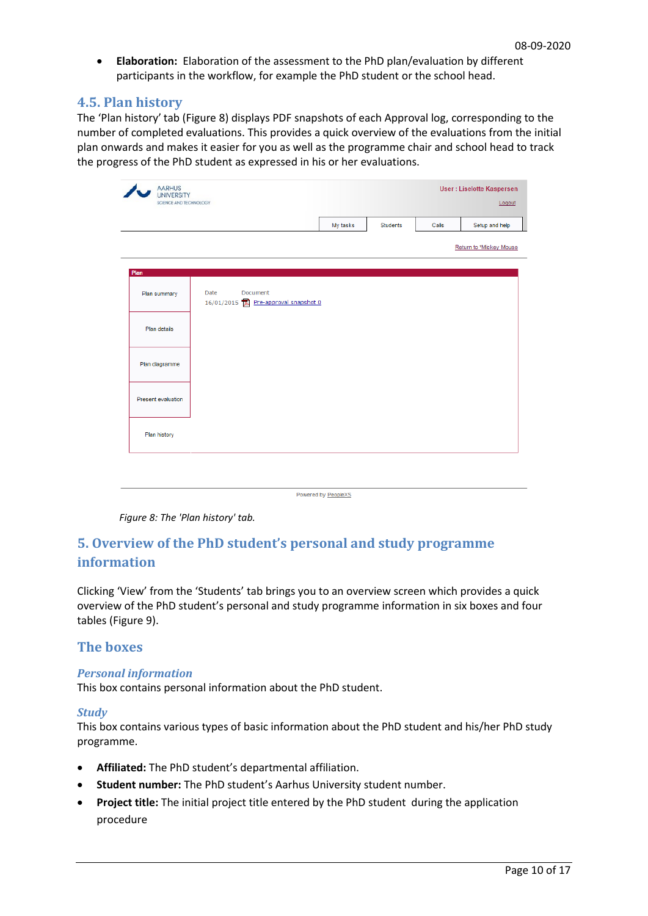• **Elaboration:** Elaboration of the assessment to the PhD plan/evaluation by different participants in the workflow, for example the PhD student or the school head.

#### <span id="page-9-0"></span>**4.5. Plan history**

The 'Plan history' tab (Figure 8) displays PDF snapshots of each Approval log, corresponding to the number of completed evaluations. This provides a quick overview of the evaluations from the initial plan onwards and makes it easier for you as well as the programme chair and school head to track the progress of the PhD student as expressed in his or her evaluations.

|                    |      |                                                |          |          |       | Logout                  |
|--------------------|------|------------------------------------------------|----------|----------|-------|-------------------------|
|                    |      |                                                | My tasks | Students | Calls | Setup and help          |
|                    |      |                                                |          |          |       | Return to *Mickey Mouse |
| Plan               |      |                                                |          |          |       |                         |
| Plan summary       | Date | Document<br>16/01/2015 Pre-approval snapshot 0 |          |          |       |                         |
| Plan details       |      |                                                |          |          |       |                         |
| Plan diagramme     |      |                                                |          |          |       |                         |
| Present evaluation |      |                                                |          |          |       |                         |
| Plan history       |      |                                                |          |          |       |                         |

Powered by PeopleXS

*Figure 8: The 'Plan history' tab.*

# **5. Overview of the PhD student's personal and study programme information**

Clicking 'View' from the 'Students' tab brings you to an overview screen which provides a quick overview of the PhD student's personal and study programme information in six boxes and four tables (Figure 9).

#### <span id="page-9-1"></span>**The boxes**

#### <span id="page-9-2"></span>*Personal information*

This box contains personal information about the PhD student.

#### <span id="page-9-3"></span>*Study*

This box contains various types of basic information about the PhD student and his/her PhD study programme.

- **Affiliated:** The PhD student's departmental affiliation.
- **Student number:** The PhD student's Aarhus University student number.
- **Project title:** The initial project title entered by the PhD student during the application procedure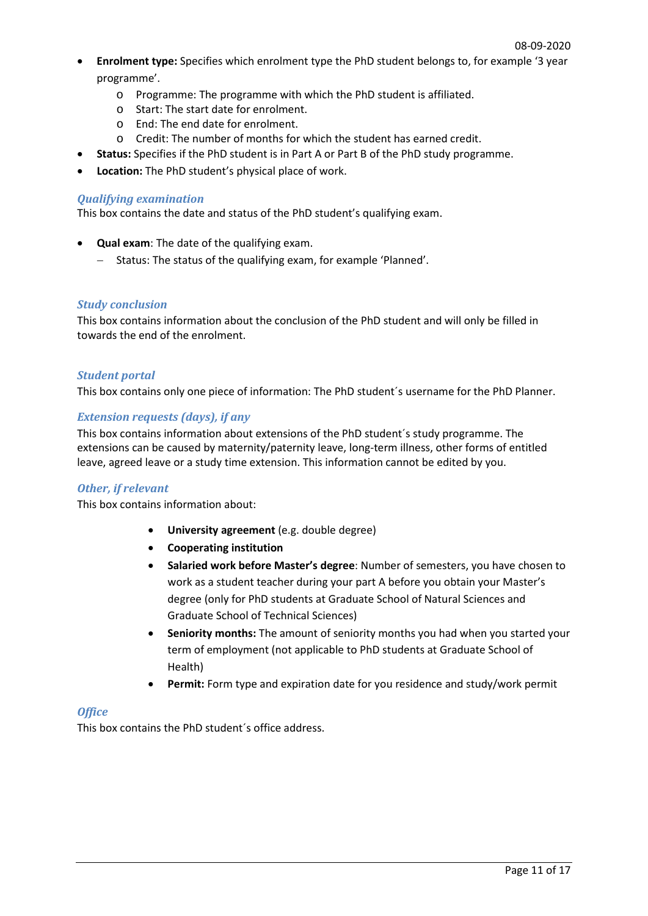- **Enrolment type:** Specifies which enrolment type the PhD student belongs to, for example '3 year programme'.
	- o Programme: The programme with which the PhD student is affiliated.
	- o Start: The start date for enrolment.
	- o End: The end date for enrolment.
	- o Credit: The number of months for which the student has earned credit.
- **Status:** Specifies if the PhD student is in Part A or Part B of the PhD study programme.
- **Location:** The PhD student's physical place of work.

#### <span id="page-10-0"></span>*Qualifying examination*

This box contains the date and status of the PhD student's qualifying exam.

- **Qual exam**: The date of the qualifying exam.
	- − Status: The status of the qualifying exam, for example 'Planned'.

#### *Study conclusion*

This box contains information about the conclusion of the PhD student and will only be filled in towards the end of the enrolment.

#### *Student portal*

This box contains only one piece of information: The PhD student´s username for the PhD Planner.

#### *Extension requests (days), if any*

This box contains information about extensions of the PhD student´s study programme. The extensions can be caused by maternity/paternity leave, long-term illness, other forms of entitled leave, agreed leave or a study time extension. This information cannot be edited by you.

#### *Other, if relevant*

This box contains information about:

- **University agreement** (e.g. double degree)
- **Cooperating institution**
- **Salaried work before Master's degree**: Number of semesters, you have chosen to work as a student teacher during your part A before you obtain your Master's degree (only for PhD students at Graduate School of Natural Sciences and Graduate School of Technical Sciences)
- **Seniority months:** The amount of seniority months you had when you started your term of employment (not applicable to PhD students at Graduate School of Health)
- **Permit:** Form type and expiration date for you residence and study/work permit

#### *Office*

This box contains the PhD student´s office address.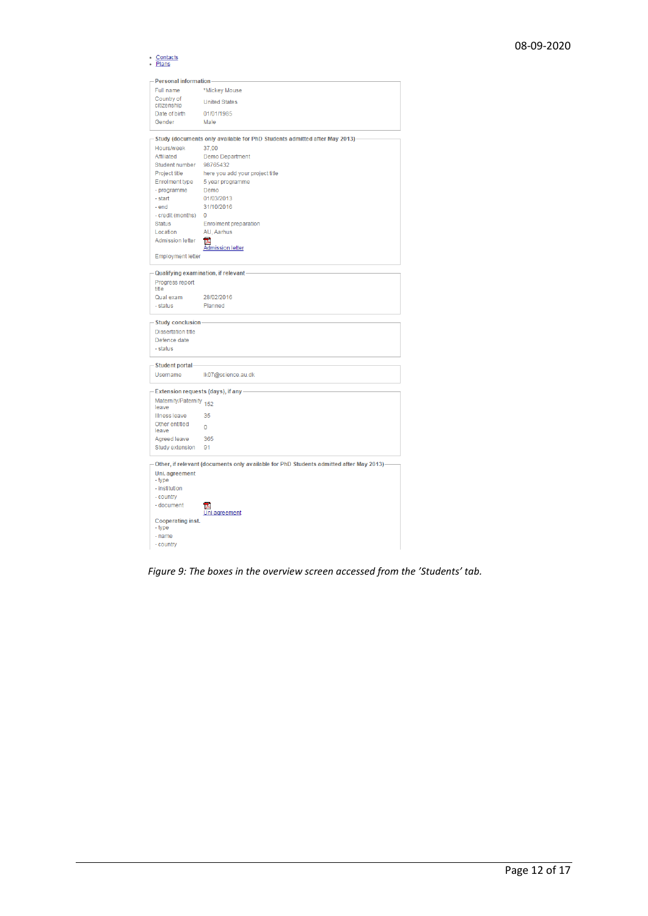- Contacts<br>- Plans

| <b>Personal information</b>       |                                                                                         |
|-----------------------------------|-----------------------------------------------------------------------------------------|
| Full name                         | *Mickey Mouse                                                                           |
| Country of                        | <b>United States</b>                                                                    |
| citizenship                       | 01/01/1985                                                                              |
| Date of birth<br>Gender           | Male                                                                                    |
|                                   |                                                                                         |
|                                   | - Study (documents only available for PhD Students admitted after May 2013)             |
| Hours/week                        | 37.00                                                                                   |
| Affiliated                        | Demo Department                                                                         |
| Student number                    | 98765432                                                                                |
| Project title                     | here you add your project title                                                         |
| <b>Enrolment type</b>             | 5 year programme                                                                        |
| - programme<br>- start            | Demo<br>01/03/2013                                                                      |
| - end                             | 31/10/2016                                                                              |
| - credit (months)                 | $\mathbf{0}$                                                                            |
| <b>Status</b>                     | <b>Enrolment preparation</b>                                                            |
| Location                          | AU, Aarhus                                                                              |
| <b>Admission letter</b>           | 長<br><b>Admission letter</b>                                                            |
| <b>Employment letter</b>          |                                                                                         |
|                                   |                                                                                         |
|                                   | Qualifying examination, if relevant-                                                    |
| Progress report<br>title          |                                                                                         |
| Qual exam                         | 28/02/2016                                                                              |
| - status                          | Planned                                                                                 |
| - Study conclusion-               |                                                                                         |
| <b>Dissertation title</b>         |                                                                                         |
| Defence date                      |                                                                                         |
| - status                          |                                                                                         |
|                                   |                                                                                         |
| - Student portal-                 |                                                                                         |
| <b>Username</b>                   | Ik07@science.au.dk                                                                      |
| Extension requests (days), if any |                                                                                         |
| Maternity/Paternity 152<br>leave  |                                                                                         |
| Illness leave                     | 35                                                                                      |
| Other entitled                    |                                                                                         |
| leave                             | 0                                                                                       |
| Agreed leave                      | 365                                                                                     |
| Study extension                   | 91                                                                                      |
|                                   | Other, if relevant (documents only available for PhD Students admitted after May 2013)- |
| Uni. agreement                    |                                                                                         |
| - type                            |                                                                                         |
| - institution                     |                                                                                         |
| - country                         |                                                                                         |
| - document                        |                                                                                         |
|                                   | <b>Jni agreement</b>                                                                    |
| Cooperating inst.<br>- type       |                                                                                         |
| - name                            |                                                                                         |
| - country                         |                                                                                         |
|                                   |                                                                                         |

*Figure 9: The boxes in the overview screen accessed from the 'Students' tab.*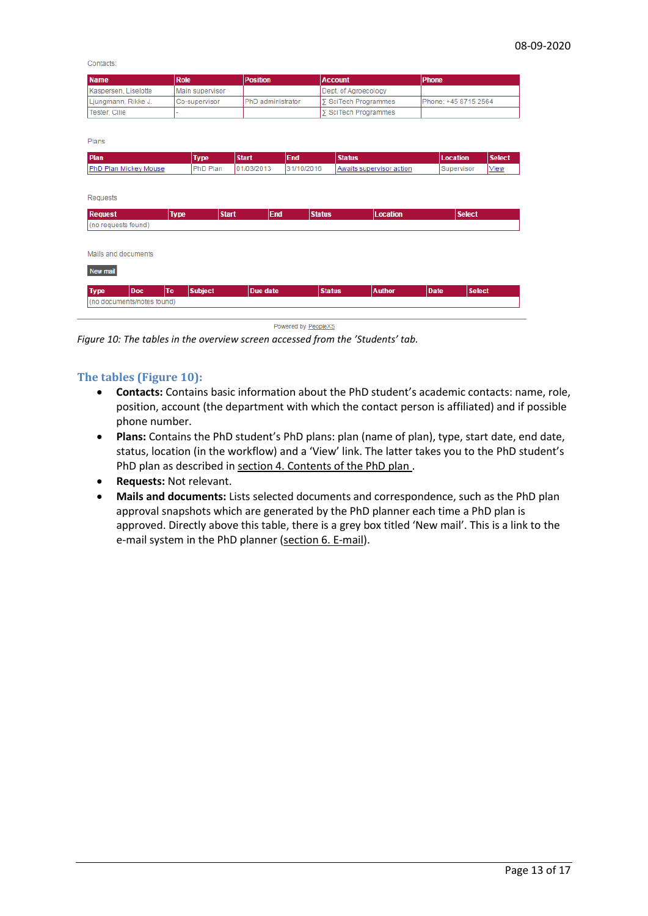Contacts

| <b>Name</b>          | <b>Role</b>     | <b>Position</b>           | <b>Account</b>               | <b>Phone</b>         |
|----------------------|-----------------|---------------------------|------------------------------|----------------------|
| Kaspersen, Liselotte | Main supervisor |                           | Dept. of Agroecology         |                      |
| Ljungmann, Rikke J.  | Co-supervisor   | <b>IPhD</b> administrator | <b>IS</b> SciTech Programmes | Phone: +45 8715 2564 |
| Tester, Cilie        |                 |                           | <b>Σ</b> SciTech Programmes  |                      |

Plans

| Plan                          | <b>Type</b>    | <b>Start</b> | End           | <b>Status</b>            | <b>Location</b>       | <b>Select</b> |
|-------------------------------|----------------|--------------|---------------|--------------------------|-----------------------|---------------|
| PhD Plan Mickey Mouse         | PhD Plan       | 01/03/2013   | 31/10/2016    | Awaits supervisor action | Supervisor            | View          |
|                               |                |              |               |                          |                       |               |
| Requests                      |                |              |               |                          |                       |               |
| <b>Type</b><br><b>Request</b> | <b>Start</b>   | End          | <b>Status</b> | Location                 | <b>Select</b>         |               |
| (no requests found)           |                |              |               |                          |                       |               |
|                               |                |              |               |                          |                       |               |
| Mails and documents           |                |              |               |                          |                       |               |
| New mail                      |                |              |               |                          |                       |               |
| To<br><b>Type</b><br>Doc      | <b>Subject</b> | Due date     | <b>Status</b> | <b>Author</b>            | <b>Select</b><br>Date |               |
| (no documents/notes found)    |                |              |               |                          |                       |               |

Powered by PeopleXS

*Figure 10: The tables in the overview screen accessed from the 'Students' tab.*

#### <span id="page-12-0"></span>**The tables (Figure 10):**

- **Contacts:** Contains basic information about the PhD student's academic contacts: name, role, position, account (the department with which the contact person is affiliated) and if possible phone number.
- **Plans:** Contains the PhD student's PhD plans: plan (name of plan), type, start date, end date, status, location (in the workflow) and a 'View' link. The latter takes you to the PhD student's PhD plan as described in section 4. Contents of the PhD plan.
- **Requests:** Not relevant.
- **Mails and documents:** Lists selected documents and correspondence, such as the PhD plan approval snapshots which are generated by the PhD planner each time a PhD plan is approved. Directly above this table, there is a grey box titled 'New mail'. This is a link to the e-mail system in the PhD planner (section [6. E-mail\)](#page-13-0).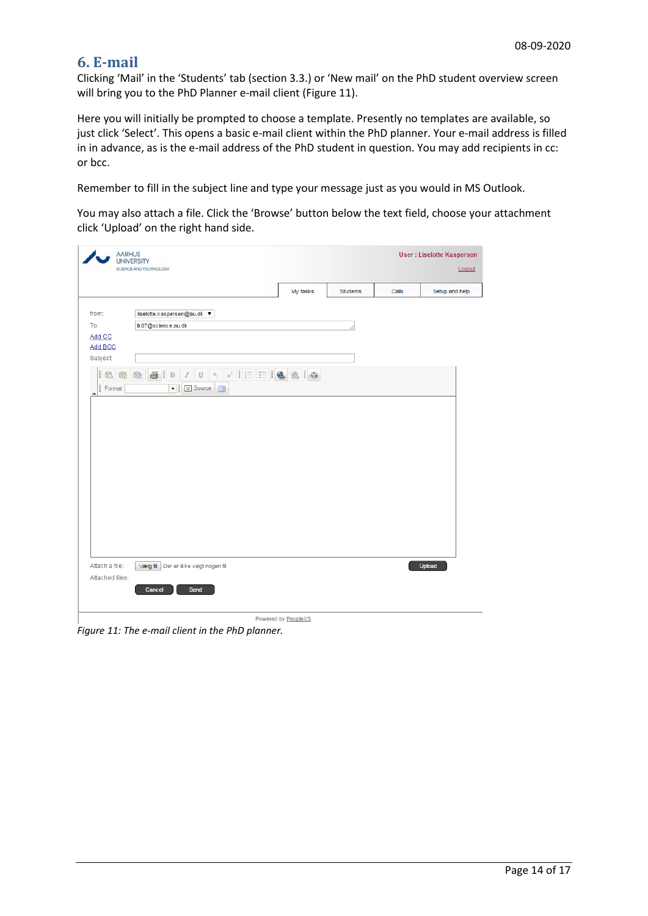## <span id="page-13-0"></span>**6. E-mail**

Clicking 'Mail' in the 'Students' tab (section 3.3.) or 'New mail' on the PhD student overview screen will bring you to the PhD Planner e-mail client (Figure 11).

Here you will initially be prompted to choose a template. Presently no templates are available, so just click 'Select'. This opens a basic e-mail client within the PhD planner. Your e-mail address is filled in in advance, as is the e-mail address of the PhD student in question. You may add recipients in cc: or bcc.

Remember to fill in the subject line and type your message just as you would in MS Outlook.

You may also attach a file. Click the 'Browse' button below the text field, choose your attachment click 'Upload' on the right hand side.

| <b>AARHUS</b><br><b>UNIVERSITY</b><br>SCIENCE AND TECHNOLOGY       |                                                                                                                                                                                                                               |                     |                 | <b>User: Liselotte Kaspersen</b><br>Logout |                |  |
|--------------------------------------------------------------------|-------------------------------------------------------------------------------------------------------------------------------------------------------------------------------------------------------------------------------|---------------------|-----------------|--------------------------------------------|----------------|--|
|                                                                    |                                                                                                                                                                                                                               | My tasks            | <b>Students</b> | Calls                                      | Setup and help |  |
| from:<br>To:<br>Add CC<br>Add BCC<br>Subject:<br>L<br>电音<br>Format | liselotte.kaspersen@au.dk ▼<br>Ik07@science.au.dk<br>$\circledR$   $\circledR$   $\cdot$   $\cdot$   $\cdot$   $\cdot$   $\cdot$   $\cdot$   $\cdot$   $\circledR$   $\circledR$   $\circledR$   $\circledR$<br>▼   El Source |                     |                 |                                            |                |  |
| Attach a file:<br>Attached files:                                  | Vælg fil Der er ikke valgt nogen fil<br>Cancel<br>Send                                                                                                                                                                        | Powered by PeopleXS |                 |                                            | Upload         |  |

*Figure 11: The e-mail client in the PhD planner.*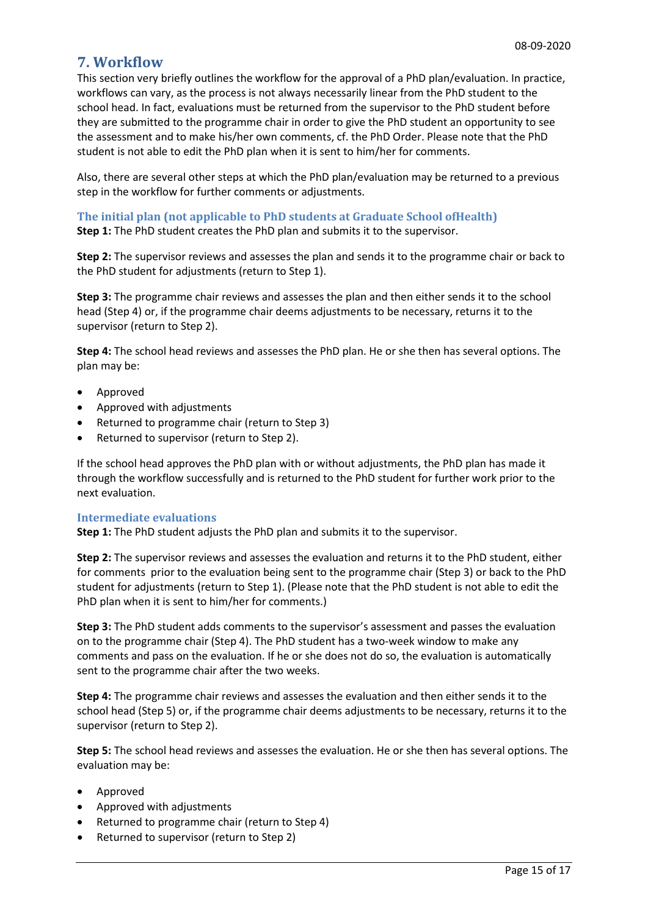## <span id="page-14-0"></span>**7. Workflow**

This section very briefly outlines the workflow for the approval of a PhD plan/evaluation. In practice, workflows can vary, as the process is not always necessarily linear from the PhD student to the school head. In fact, evaluations must be returned from the supervisor to the PhD student before they are submitted to the programme chair in order to give the PhD student an opportunity to see the assessment and to make his/her own comments, cf. the PhD Order. Please note that the PhD student is not able to edit the PhD plan when it is sent to him/her for comments.

Also, there are several other steps at which the PhD plan/evaluation may be returned to a previous step in the workflow for further comments or adjustments.

<span id="page-14-1"></span>**The initial plan (not applicable to PhD students at Graduate School ofHealth)**

**Step 1:** The PhD student creates the PhD plan and submits it to the supervisor.

**Step 2:** The supervisor reviews and assesses the plan and sends it to the programme chair or back to the PhD student for adjustments (return to Step 1).

**Step 3:** The programme chair reviews and assesses the plan and then either sends it to the school head (Step 4) or, if the programme chair deems adjustments to be necessary, returns it to the supervisor (return to Step 2).

**Step 4:** The school head reviews and assesses the PhD plan. He or she then has several options. The plan may be:

- Approved
- Approved with adjustments
- Returned to programme chair (return to Step 3)
- Returned to supervisor (return to Step 2).

If the school head approves the PhD plan with or without adjustments, the PhD plan has made it through the workflow successfully and is returned to the PhD student for further work prior to the next evaluation.

#### <span id="page-14-2"></span>**Intermediate evaluations**

**Step 1:** The PhD student adjusts the PhD plan and submits it to the supervisor.

**Step 2:** The supervisor reviews and assesses the evaluation and returns it to the PhD student, either for comments prior to the evaluation being sent to the programme chair (Step 3) or back to the PhD student for adjustments (return to Step 1). (Please note that the PhD student is not able to edit the PhD plan when it is sent to him/her for comments.)

**Step 3:** The PhD student adds comments to the supervisor's assessment and passes the evaluation on to the programme chair (Step 4). The PhD student has a two-week window to make any comments and pass on the evaluation. If he or she does not do so, the evaluation is automatically sent to the programme chair after the two weeks.

**Step 4:** The programme chair reviews and assesses the evaluation and then either sends it to the school head (Step 5) or, if the programme chair deems adjustments to be necessary, returns it to the supervisor (return to Step 2).

**Step 5:** The school head reviews and assesses the evaluation. He or she then has several options. The evaluation may be:

- Approved
- Approved with adjustments
- Returned to programme chair (return to Step 4)
- Returned to supervisor (return to Step 2)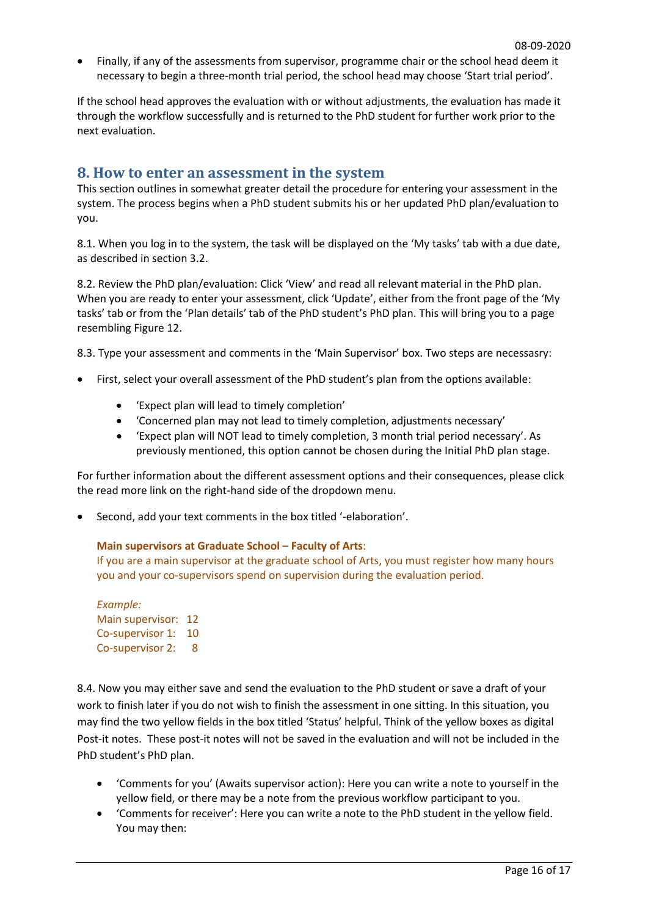• Finally, if any of the assessments from supervisor, programme chair or the school head deem it necessary to begin a three-month trial period, the school head may choose 'Start trial period'.

If the school head approves the evaluation with or without adjustments, the evaluation has made it through the workflow successfully and is returned to the PhD student for further work prior to the next evaluation.

## <span id="page-15-0"></span>**8. How to enter an assessment in the system**

This section outlines in somewhat greater detail the procedure for entering your assessment in the system. The process begins when a PhD student submits his or her updated PhD plan/evaluation to you.

8.1. When you log in to the system, the task will be displayed on the 'My tasks' tab with a due date, as described in section 3.2.

8.2. Review the PhD plan/evaluation: Click 'View' and read all relevant material in the PhD plan. When you are ready to enter your assessment, click 'Update', either from the front page of the 'My tasks' tab or from the 'Plan details' tab of the PhD student's PhD plan. This will bring you to a page resembling Figure 12.

8.3. Type your assessment and comments in the 'Main Supervisor' box. Two steps are necessasry:

- First, select your overall assessment of the PhD student's plan from the options available:
	- 'Expect plan will lead to timely completion'
	- 'Concerned plan may not lead to timely completion, adjustments necessary'
	- 'Expect plan will NOT lead to timely completion, 3 month trial period necessary'. As previously mentioned, this option cannot be chosen during the Initial PhD plan stage.

For further information about the different assessment options and their consequences, please click the read more link on the right-hand side of the dropdown menu.

• Second, add your text comments in the box titled '-elaboration'.

#### **Main supervisors at Graduate School – Faculty of Arts**:

If you are a main supervisor at the graduate school of Arts, you must register how many hours you and your co-supervisors spend on supervision during the evaluation period.

*Example:* Main supervisor: 12 Co-supervisor 1: 10 Co-supervisor 2: 8

8.4. Now you may either save and send the evaluation to the PhD student or save a draft of your work to finish later if you do not wish to finish the assessment in one sitting. In this situation, you may find the two yellow fields in the box titled 'Status' helpful. Think of the yellow boxes as digital Post-it notes. These post-it notes will not be saved in the evaluation and will not be included in the PhD student's PhD plan.

- 'Comments for you' (Awaits supervisor action): Here you can write a note to yourself in the yellow field, or there may be a note from the previous workflow participant to you.
- 'Comments for receiver': Here you can write a note to the PhD student in the yellow field. You may then: